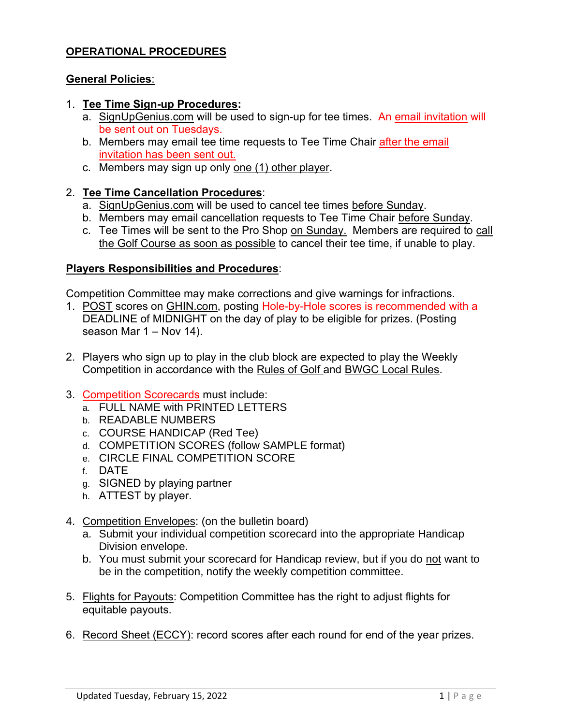## **OPERATIONAL PROCEDURES**

#### **General Policies**:

- 1. **Tee Time Sign-up Procedures:**
	- a. SignUpGenius.com will be used to sign-up for tee times. An email invitation will be sent out on Tuesdays.
	- b. Members may email tee time requests to Tee Time Chair after the email invitation has been sent out.
	- c. Members may sign up only one (1) other player.

### 2. **Tee Time Cancellation Procedures**:

- a. SignUpGenius.com will be used to cancel tee times before Sunday.
- b. Members may email cancellation requests to Tee Time Chair before Sunday.
- c. Tee Times will be sent to the Pro Shop on Sunday. Members are required to call the Golf Course as soon as possible to cancel their tee time, if unable to play.

#### **Players Responsibilities and Procedures**:

Competition Committee may make corrections and give warnings for infractions.

- 1. POST scores on GHIN.com, posting Hole-by-Hole scores is recommended with a DEADLINE of MIDNIGHT on the day of play to be eligible for prizes. (Posting season Mar 1 – Nov 14).
- 2. Players who sign up to play in the club block are expected to play the Weekly Competition in accordance with the Rules of Golf and BWGC Local Rules.
- 3. Competition Scorecards must include:
	- a. FULL NAME with PRINTED LETTERS
	- b. READABLE NUMBERS
	- c. COURSE HANDICAP (Red Tee)
	- d. COMPETITION SCORES (follow SAMPLE format)
	- e. CIRCLE FINAL COMPETITION SCORE
	- f. DATE
	- g. SIGNED by playing partner
	- h. ATTEST by player.
- 4. Competition Envelopes: (on the bulletin board)
	- a. Submit your individual competition scorecard into the appropriate Handicap Division envelope.
	- b. You must submit your scorecard for Handicap review, but if you do not want to be in the competition, notify the weekly competition committee.
- 5. Flights for Payouts: Competition Committee has the right to adjust flights for equitable payouts.
- 6. Record Sheet (ECCY): record scores after each round for end of the year prizes.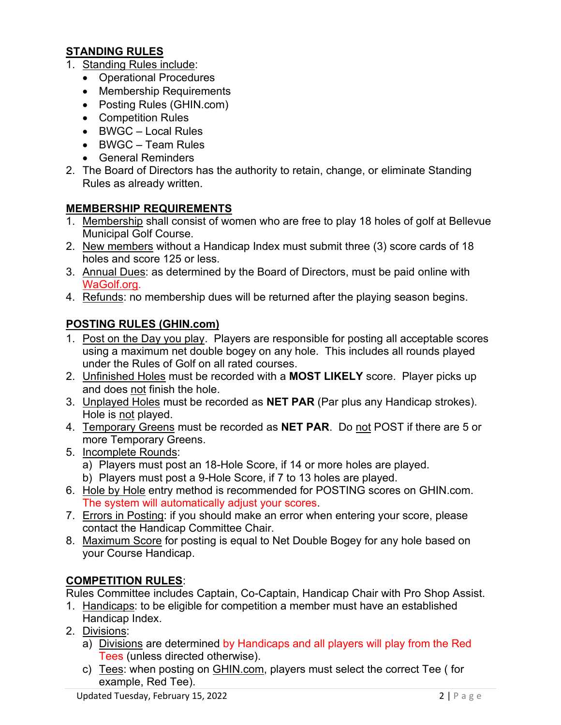# **STANDING RULES**

- 1. Standing Rules include:
	- Operational Procedures
	- Membership Requirements
	- Posting Rules (GHIN.com)
	- Competition Rules
	- BWGC Local Rules
	- BWGC Team Rules
	- General Reminders
- 2. The Board of Directors has the authority to retain, change, or eliminate Standing Rules as already written.

## **MEMBERSHIP REQUIREMENTS**

- 1. Membership shall consist of women who are free to play 18 holes of golf at Bellevue Municipal Golf Course.
- 2. New members without a Handicap Index must submit three (3) score cards of 18 holes and score 125 or less.
- 3. Annual Dues: as determined by the Board of Directors, must be paid online with WaGolf.org.
- 4. Refunds: no membership dues will be returned after the playing season begins.

# **POSTING RULES (GHIN.com)**

- 1. Post on the Day you play. Players are responsible for posting all acceptable scores using a maximum net double bogey on any hole. This includes all rounds played under the Rules of Golf on all rated courses.
- 2. Unfinished Holes must be recorded with a **MOST LIKELY** score. Player picks up and does not finish the hole.
- 3. Unplayed Holes must be recorded as **NET PAR** (Par plus any Handicap strokes). Hole is not played.
- 4. Temporary Greens must be recorded as **NET PAR**. Do not POST if there are 5 or more Temporary Greens.
- 5. Incomplete Rounds:
	- a) Players must post an 18-Hole Score, if 14 or more holes are played.
	- b) Players must post a 9-Hole Score, if 7 to 13 holes are played.
- 6. Hole by Hole entry method is recommended for POSTING scores on GHIN.com. The system will automatically adjust your scores.
- 7. Errors in Posting: if you should make an error when entering your score, please contact the Handicap Committee Chair.
- 8. Maximum Score for posting is equal to Net Double Bogey for any hole based on your Course Handicap.

### **COMPETITION RULES**:

Rules Committee includes Captain, Co-Captain, Handicap Chair with Pro Shop Assist.

- 1. Handicaps: to be eligible for competition a member must have an established Handicap Index.
- 2. Divisions:
	- a) Divisions are determined by Handicaps and all players will play from the Red Tees (unless directed otherwise).
	- c) Tees: when posting on GHIN.com, players must select the correct Tee (for example, Red Tee).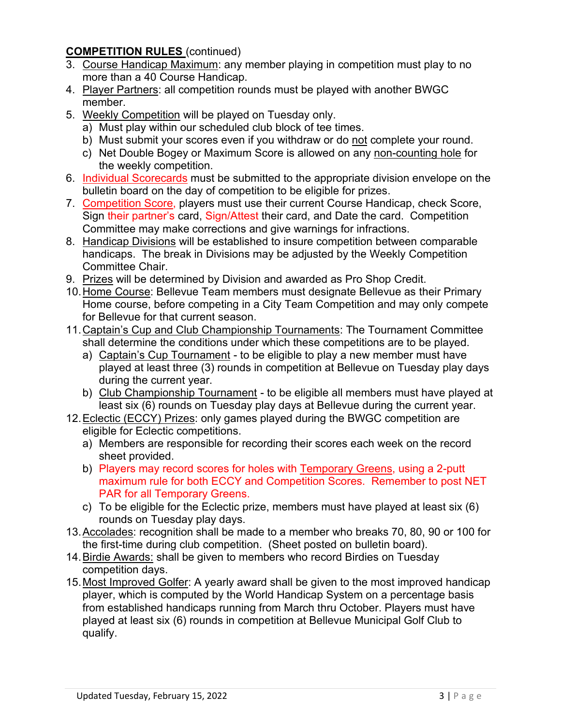## **COMPETITION RULES** (continued)

- 3. Course Handicap Maximum: any member playing in competition must play to no more than a 40 Course Handicap.
- 4. Player Partners: all competition rounds must be played with another BWGC member.
- 5. Weekly Competition will be played on Tuesday only.
	- a) Must play within our scheduled club block of tee times.
	- b) Must submit your scores even if you withdraw or do not complete your round.
	- c) Net Double Bogey or Maximum Score is allowed on any non-counting hole for the weekly competition.
- 6. Individual Scorecards must be submitted to the appropriate division envelope on the bulletin board on the day of competition to be eligible for prizes.
- 7. Competition Score, players must use their current Course Handicap, check Score, Sign their partner's card, Sign/Attest their card, and Date the card. Competition Committee may make corrections and give warnings for infractions.
- 8. Handicap Divisions will be established to insure competition between comparable handicaps. The break in Divisions may be adjusted by the Weekly Competition Committee Chair.
- 9. Prizes will be determined by Division and awarded as Pro Shop Credit.
- 10.Home Course: Bellevue Team members must designate Bellevue as their Primary Home course, before competing in a City Team Competition and may only compete for Bellevue for that current season.
- 11.Captain's Cup and Club Championship Tournaments: The Tournament Committee shall determine the conditions under which these competitions are to be played.
	- a) Captain's Cup Tournament to be eligible to play a new member must have played at least three (3) rounds in competition at Bellevue on Tuesday play days during the current year.
	- b) Club Championship Tournament to be eligible all members must have played at least six (6) rounds on Tuesday play days at Bellevue during the current year.
- 12.Eclectic (ECCY) Prizes: only games played during the BWGC competition are eligible for Eclectic competitions.
	- a) Members are responsible for recording their scores each week on the record sheet provided.
	- b) Players may record scores for holes with Temporary Greens, using a 2-putt maximum rule for both ECCY and Competition Scores. Remember to post NET PAR for all Temporary Greens.
	- c) To be eligible for the Eclectic prize, members must have played at least six (6) rounds on Tuesday play days.
- 13.Accolades: recognition shall be made to a member who breaks 70, 80, 90 or 100 for the first-time during club competition. (Sheet posted on bulletin board).
- 14.Birdie Awards: shall be given to members who record Birdies on Tuesday competition days.
- 15.Most Improved Golfer: A yearly award shall be given to the most improved handicap player, which is computed by the World Handicap System on a percentage basis from established handicaps running from March thru October. Players must have played at least six (6) rounds in competition at Bellevue Municipal Golf Club to qualify.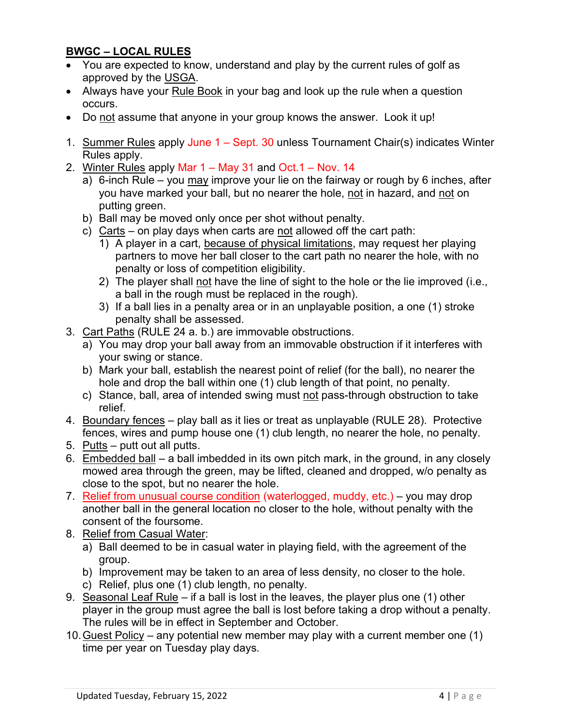# **BWGC – LOCAL RULES**

- You are expected to know, understand and play by the current rules of golf as approved by the USGA.
- Always have your Rule Book in your bag and look up the rule when a question occurs.
- Do not assume that anyone in your group knows the answer. Look it up!
- 1. Summer Rules apply June 1 Sept. 30 unless Tournament Chair(s) indicates Winter Rules apply.
- 2. Winter Rules apply Mar 1 May 31 and Oct.1 Nov. 14
	- a) 6-inch Rule you may improve your lie on the fairway or rough by 6 inches, after you have marked your ball, but no nearer the hole, not in hazard, and not on putting green.
	- b) Ball may be moved only once per shot without penalty.
	- c) Carts on play days when carts are not allowed off the cart path:
		- 1) A player in a cart, because of physical limitations, may request her playing partners to move her ball closer to the cart path no nearer the hole, with no penalty or loss of competition eligibility.
		- 2) The player shall not have the line of sight to the hole or the lie improved (i.e., a ball in the rough must be replaced in the rough).
		- 3) If a ball lies in a penalty area or in an unplayable position, a one (1) stroke penalty shall be assessed.
- 3. Cart Paths (RULE 24 a. b.) are immovable obstructions.
	- a) You may drop your ball away from an immovable obstruction if it interferes with your swing or stance.
	- b) Mark your ball, establish the nearest point of relief (for the ball), no nearer the hole and drop the ball within one (1) club length of that point, no penalty.
	- c) Stance, ball, area of intended swing must not pass-through obstruction to take relief.
- 4. Boundary fences play ball as it lies or treat as unplayable (RULE 28). Protective fences, wires and pump house one (1) club length, no nearer the hole, no penalty.
- 5. Putts putt out all putts.
- 6. Embedded ball a ball imbedded in its own pitch mark, in the ground, in any closely mowed area through the green, may be lifted, cleaned and dropped, w/o penalty as close to the spot, but no nearer the hole.
- 7. Relief from unusual course condition (waterlogged, muddy, etc.) you may drop another ball in the general location no closer to the hole, without penalty with the consent of the foursome.
- 8. Relief from Casual Water:
	- a) Ball deemed to be in casual water in playing field, with the agreement of the group.
	- b) Improvement may be taken to an area of less density, no closer to the hole.
	- c) Relief, plus one (1) club length, no penalty.
- 9. Seasonal Leaf Rule if a ball is lost in the leaves, the player plus one (1) other player in the group must agree the ball is lost before taking a drop without a penalty. The rules will be in effect in September and October.
- 10.Guest Policy any potential new member may play with a current member one (1) time per year on Tuesday play days.